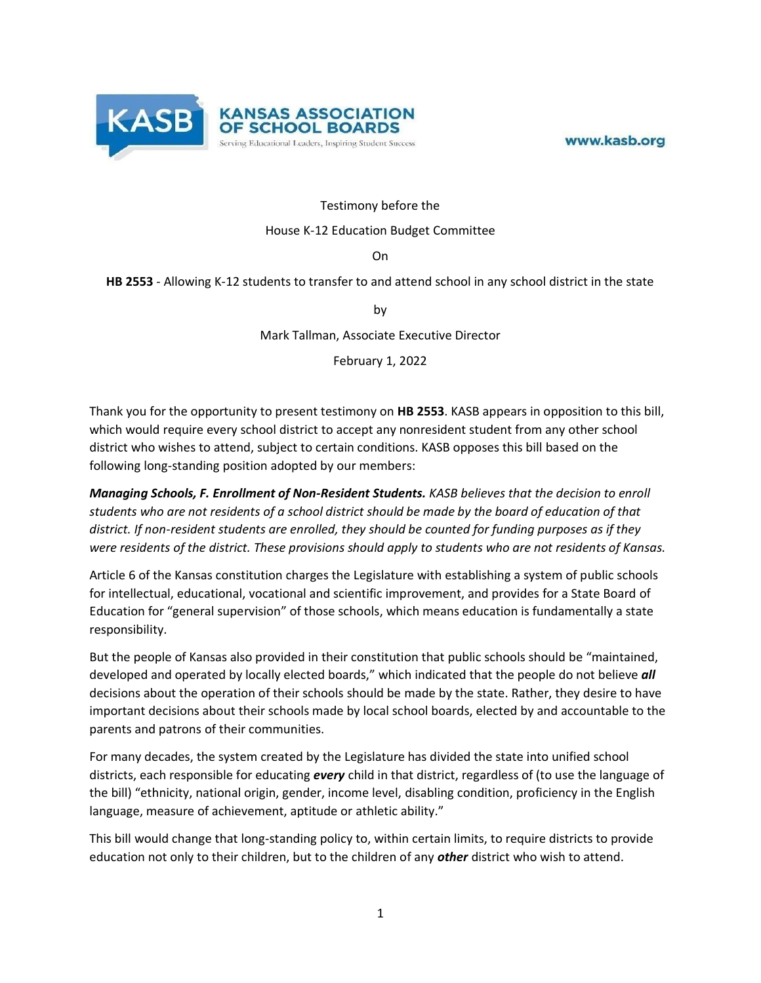

www.kasb.org

## Testimony before the

## House K-12 Education Budget Committee

On

## **HB 2553** - Allowing K-12 students to transfer to and attend school in any school district in the state

by

Mark Tallman, Associate Executive Director

February 1, 2022

Thank you for the opportunity to present testimony on **HB 2553**. KASB appears in opposition to this bill, which would require every school district to accept any nonresident student from any other school district who wishes to attend, subject to certain conditions. KASB opposes this bill based on the following long-standing position adopted by our members:

*Managing Schools, F. Enrollment of Non-Resident Students. KASB believes that the decision to enroll students who are not residents of a school district should be made by the board of education of that district. If non-resident students are enrolled, they should be counted for funding purposes as if they were residents of the district. These provisions should apply to students who are not residents of Kansas.*

Article 6 of the Kansas constitution charges the Legislature with establishing a system of public schools for intellectual, educational, vocational and scientific improvement, and provides for a State Board of Education for "general supervision" of those schools, which means education is fundamentally a state responsibility.

But the people of Kansas also provided in their constitution that public schools should be "maintained, developed and operated by locally elected boards," which indicated that the people do not believe *all*  decisions about the operation of their schools should be made by the state. Rather, they desire to have important decisions about their schools made by local school boards, elected by and accountable to the parents and patrons of their communities.

For many decades, the system created by the Legislature has divided the state into unified school districts, each responsible for educating *every* child in that district, regardless of (to use the language of the bill) "ethnicity, national origin, gender, income level, disabling condition, proficiency in the English language, measure of achievement, aptitude or athletic ability."

This bill would change that long-standing policy to, within certain limits, to require districts to provide education not only to their children, but to the children of any *other* district who wish to attend.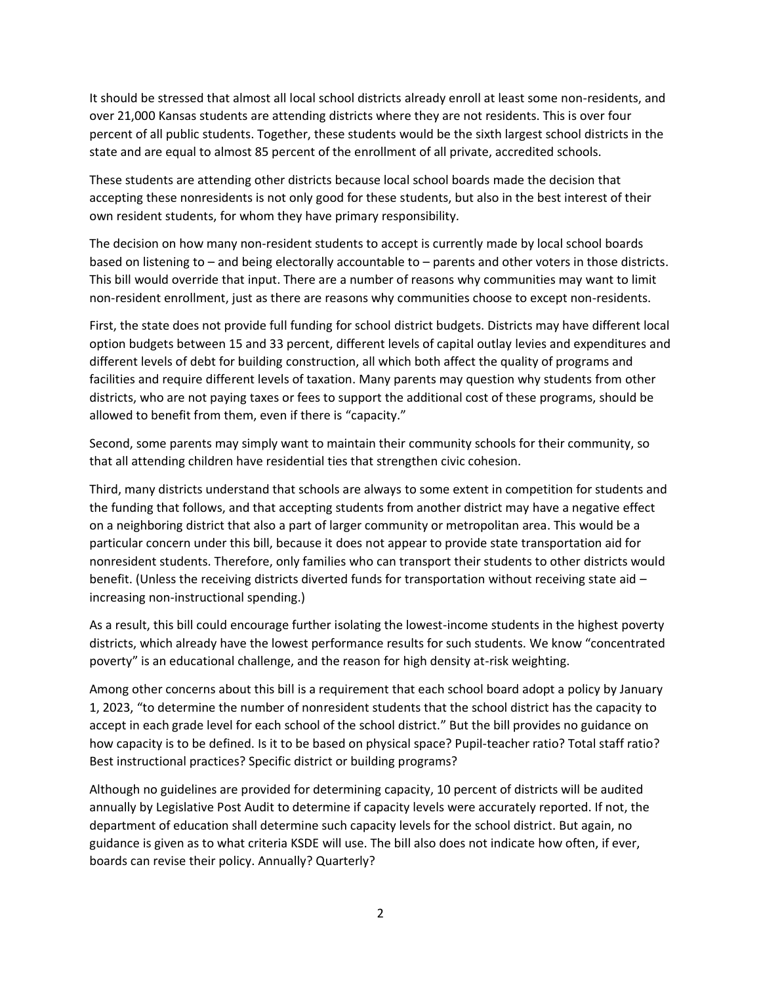It should be stressed that almost all local school districts already enroll at least some non-residents, and over 21,000 Kansas students are attending districts where they are not residents. This is over four percent of all public students. Together, these students would be the sixth largest school districts in the state and are equal to almost 85 percent of the enrollment of all private, accredited schools.

These students are attending other districts because local school boards made the decision that accepting these nonresidents is not only good for these students, but also in the best interest of their own resident students, for whom they have primary responsibility.

The decision on how many non-resident students to accept is currently made by local school boards based on listening to – and being electorally accountable to – parents and other voters in those districts. This bill would override that input. There are a number of reasons why communities may want to limit non-resident enrollment, just as there are reasons why communities choose to except non-residents.

First, the state does not provide full funding for school district budgets. Districts may have different local option budgets between 15 and 33 percent, different levels of capital outlay levies and expenditures and different levels of debt for building construction, all which both affect the quality of programs and facilities and require different levels of taxation. Many parents may question why students from other districts, who are not paying taxes or fees to support the additional cost of these programs, should be allowed to benefit from them, even if there is "capacity."

Second, some parents may simply want to maintain their community schools for their community, so that all attending children have residential ties that strengthen civic cohesion.

Third, many districts understand that schools are always to some extent in competition for students and the funding that follows, and that accepting students from another district may have a negative effect on a neighboring district that also a part of larger community or metropolitan area. This would be a particular concern under this bill, because it does not appear to provide state transportation aid for nonresident students. Therefore, only families who can transport their students to other districts would benefit. (Unless the receiving districts diverted funds for transportation without receiving state aid – increasing non-instructional spending.)

As a result, this bill could encourage further isolating the lowest-income students in the highest poverty districts, which already have the lowest performance results for such students. We know "concentrated poverty" is an educational challenge, and the reason for high density at-risk weighting.

Among other concerns about this bill is a requirement that each school board adopt a policy by January 1, 2023, "to determine the number of nonresident students that the school district has the capacity to accept in each grade level for each school of the school district." But the bill provides no guidance on how capacity is to be defined. Is it to be based on physical space? Pupil-teacher ratio? Total staff ratio? Best instructional practices? Specific district or building programs?

Although no guidelines are provided for determining capacity, 10 percent of districts will be audited annually by Legislative Post Audit to determine if capacity levels were accurately reported. If not, the department of education shall determine such capacity levels for the school district. But again, no guidance is given as to what criteria KSDE will use. The bill also does not indicate how often, if ever, boards can revise their policy. Annually? Quarterly?